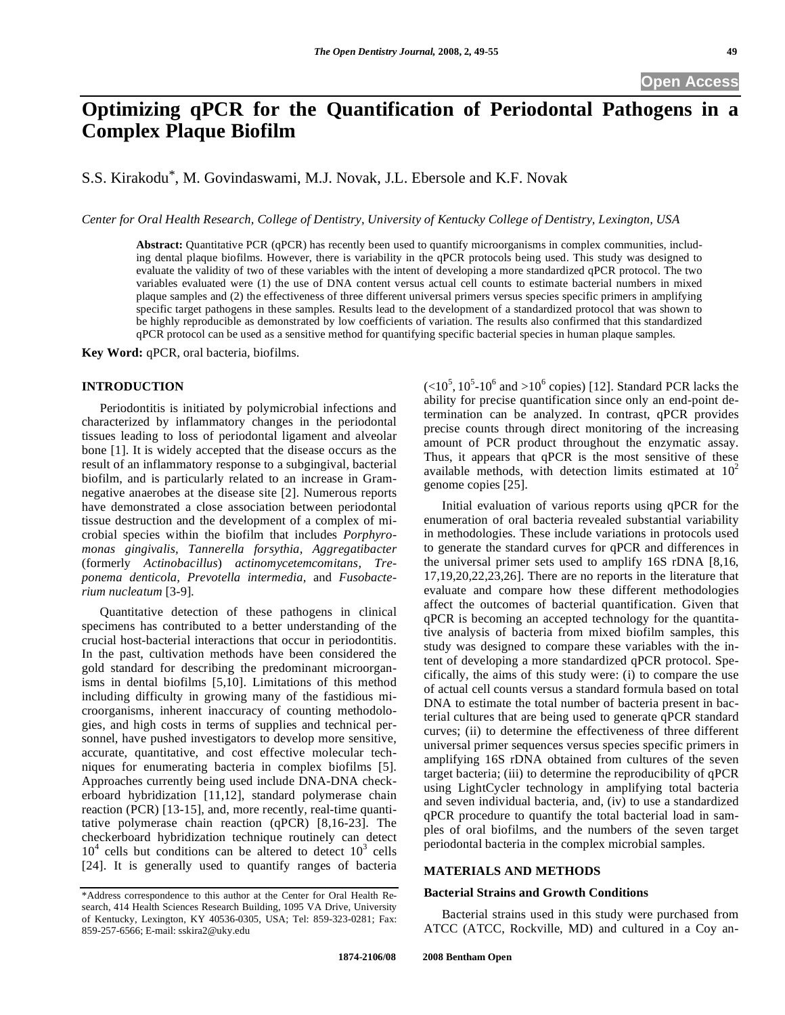# **Optimizing qPCR for the Quantification of Periodontal Pathogens in a Complex Plaque Biofilm**

S.S. Kirakodu\*, M. Govindaswami, M.J. Novak, J.L. Ebersole and K.F. Novak

*Center for Oral Health Research, College of Dentistry, University of Kentucky College of Dentistry, Lexington, USA* 

**Abstract:** Quantitative PCR (qPCR) has recently been used to quantify microorganisms in complex communities, including dental plaque biofilms. However, there is variability in the qPCR protocols being used. This study was designed to evaluate the validity of two of these variables with the intent of developing a more standardized qPCR protocol. The two variables evaluated were (1) the use of DNA content versus actual cell counts to estimate bacterial numbers in mixed plaque samples and (2) the effectiveness of three different universal primers versus species specific primers in amplifying specific target pathogens in these samples. Results lead to the development of a standardized protocol that was shown to be highly reproducible as demonstrated by low coefficients of variation. The results also confirmed that this standardized qPCR protocol can be used as a sensitive method for quantifying specific bacterial species in human plaque samples.

**Key Word:** qPCR, oral bacteria, biofilms.

#### **INTRODUCTION**

 Periodontitis is initiated by polymicrobial infections and characterized by inflammatory changes in the periodontal tissues leading to loss of periodontal ligament and alveolar bone [1]. It is widely accepted that the disease occurs as the result of an inflammatory response to a subgingival, bacterial biofilm, and is particularly related to an increase in Gramnegative anaerobes at the disease site [2]. Numerous reports have demonstrated a close association between periodontal tissue destruction and the development of a complex of microbial species within the biofilm that includes *Porphyromonas gingivalis, Tannerella forsythia, Aggregatibacter*  (formerly *Actinobacillus*) *actinomycetemcomitans, Treponema denticola, Prevotella intermedia,* and *Fusobacterium nucleatum* [3-9]*.* 

 Quantitative detection of these pathogens in clinical specimens has contributed to a better understanding of the crucial host-bacterial interactions that occur in periodontitis. In the past, cultivation methods have been considered the gold standard for describing the predominant microorganisms in dental biofilms [5,10]. Limitations of this method including difficulty in growing many of the fastidious microorganisms, inherent inaccuracy of counting methodologies, and high costs in terms of supplies and technical personnel, have pushed investigators to develop more sensitive, accurate, quantitative, and cost effective molecular techniques for enumerating bacteria in complex biofilms [5]. Approaches currently being used include DNA-DNA checkerboard hybridization [11,12], standard polymerase chain reaction (PCR) [13-15], and, more recently, real-time quantitative polymerase chain reaction (qPCR) [8,16-23]. The checkerboard hybridization technique routinely can detect  $10<sup>4</sup>$  cells but conditions can be altered to detect  $10<sup>3</sup>$  cells [24]. It is generally used to quantify ranges of bacteria

 $\left($  <10<sup>5</sup>, 10<sup>5</sup>-10<sup>6</sup> and >10<sup>6</sup> copies) [12]. Standard PCR lacks the ability for precise quantification since only an end-point determination can be analyzed. In contrast, qPCR provides precise counts through direct monitoring of the increasing amount of PCR product throughout the enzymatic assay. Thus, it appears that qPCR is the most sensitive of these available methods, with detection limits estimated at  $10^2$ genome copies [25].

 Initial evaluation of various reports using qPCR for the enumeration of oral bacteria revealed substantial variability in methodologies. These include variations in protocols used to generate the standard curves for qPCR and differences in the universal primer sets used to amplify 16S rDNA [8,16, 17,19,20,22,23,26]. There are no reports in the literature that evaluate and compare how these different methodologies affect the outcomes of bacterial quantification. Given that qPCR is becoming an accepted technology for the quantitative analysis of bacteria from mixed biofilm samples, this study was designed to compare these variables with the intent of developing a more standardized qPCR protocol. Specifically, the aims of this study were: (i) to compare the use of actual cell counts versus a standard formula based on total DNA to estimate the total number of bacteria present in bacterial cultures that are being used to generate qPCR standard curves; (ii) to determine the effectiveness of three different universal primer sequences versus species specific primers in amplifying 16S rDNA obtained from cultures of the seven target bacteria; (iii) to determine the reproducibility of qPCR using LightCycler technology in amplifying total bacteria and seven individual bacteria, and, (iv) to use a standardized qPCR procedure to quantify the total bacterial load in samples of oral biofilms, and the numbers of the seven target periodontal bacteria in the complex microbial samples.

#### **MATERIALS AND METHODS**

#### **Bacterial Strains and Growth Conditions**

 Bacterial strains used in this study were purchased from ATCC (ATCC, Rockville, MD) and cultured in a Coy an-

<sup>\*</sup>Address correspondence to this author at the Center for Oral Health Research, 414 Health Sciences Research Building, 1095 VA Drive, University of Kentucky, Lexington, KY 40536-0305, USA; Tel: 859-323-0281; Fax: 859-257-6566; E-mail: sskira2@uky.edu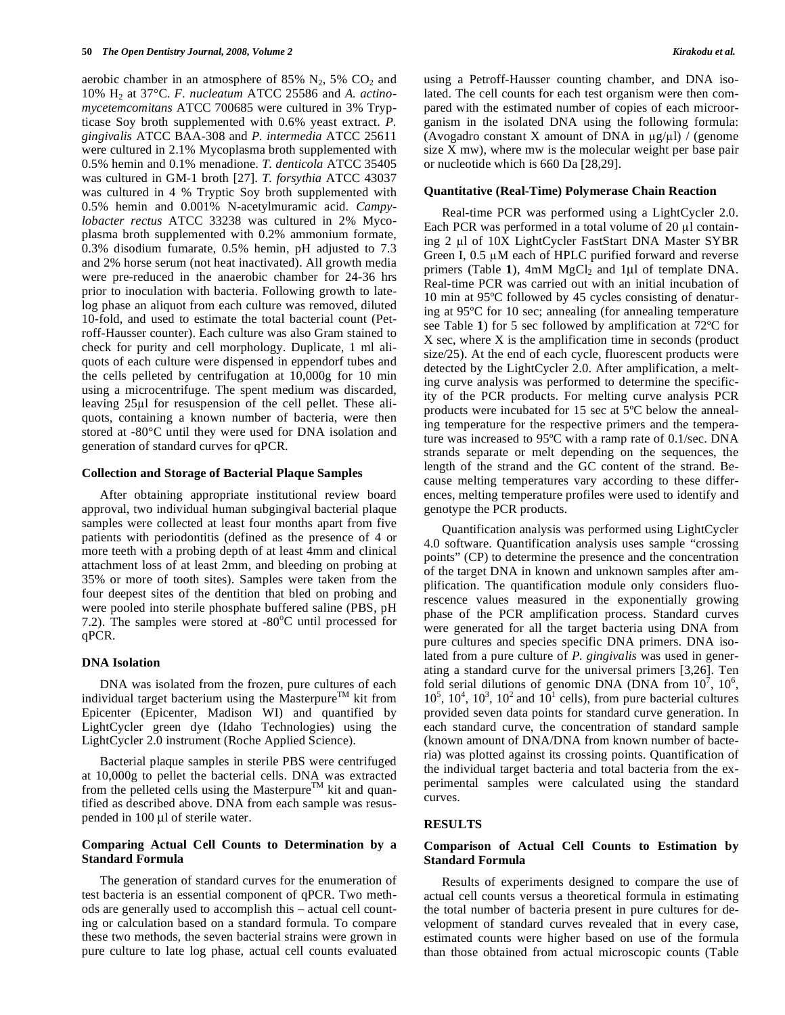aerobic chamber in an atmosphere of 85%  $N_2$ , 5%  $CO_2$  and 10% H2 at 37°C. *F. nucleatum* ATCC 25586 and *A. actinomycetemcomitans* ATCC 700685 were cultured in 3% Trypticase Soy broth supplemented with 0.6% yeast extract. *P. gingivalis* ATCC BAA-308 and *P. intermedia* ATCC 25611 were cultured in 2.1% Mycoplasma broth supplemented with 0.5% hemin and 0.1% menadione. *T. denticola* ATCC 35405 was cultured in GM-1 broth [27]. *T. forsythia* ATCC 43037 was cultured in 4 % Tryptic Soy broth supplemented with 0.5% hemin and 0.001% N-acetylmuramic acid. *Campylobacter rectus* ATCC 33238 was cultured in 2% Mycoplasma broth supplemented with 0.2% ammonium formate, 0.3% disodium fumarate, 0.5% hemin, pH adjusted to 7.3 and 2% horse serum (not heat inactivated). All growth media were pre-reduced in the anaerobic chamber for 24-36 hrs prior to inoculation with bacteria. Following growth to latelog phase an aliquot from each culture was removed, diluted 10-fold, and used to estimate the total bacterial count (Petroff-Hausser counter). Each culture was also Gram stained to check for purity and cell morphology. Duplicate, 1 ml aliquots of each culture were dispensed in eppendorf tubes and the cells pelleted by centrifugation at 10,000g for 10 min using a microcentrifuge. The spent medium was discarded, leaving  $25\mu$  for resuspension of the cell pellet. These aliquots, containing a known number of bacteria, were then stored at -80°C until they were used for DNA isolation and generation of standard curves for qPCR.

#### **Collection and Storage of Bacterial Plaque Samples**

 After obtaining appropriate institutional review board approval, two individual human subgingival bacterial plaque samples were collected at least four months apart from five patients with periodontitis (defined as the presence of 4 or more teeth with a probing depth of at least 4mm and clinical attachment loss of at least 2mm, and bleeding on probing at 35% or more of tooth sites). Samples were taken from the four deepest sites of the dentition that bled on probing and were pooled into sterile phosphate buffered saline (PBS, pH 7.2). The samples were stored at -80°C until processed for qPCR.

## **DNA Isolation**

 DNA was isolated from the frozen, pure cultures of each individual target bacterium using the Masterpure<sup>TM</sup> kit from Epicenter (Epicenter, Madison WI) and quantified by LightCycler green dye (Idaho Technologies) using the LightCycler 2.0 instrument (Roche Applied Science).

 Bacterial plaque samples in sterile PBS were centrifuged at 10,000g to pellet the bacterial cells. DNA was extracted from the pelleted cells using the Masterpure<sup>TM</sup> kit and quantified as described above. DNA from each sample was resuspended in 100 μl of sterile water.

## **Comparing Actual Cell Counts to Determination by a Standard Formula**

 The generation of standard curves for the enumeration of test bacteria is an essential component of qPCR. Two methods are generally used to accomplish this – actual cell counting or calculation based on a standard formula. To compare these two methods, the seven bacterial strains were grown in pure culture to late log phase, actual cell counts evaluated

using a Petroff-Hausser counting chamber, and DNA isolated. The cell counts for each test organism were then compared with the estimated number of copies of each microorganism in the isolated DNA using the following formula: (Avogadro constant X amount of DNA in  $\mu$ g/ $\mu$ l) / (genome size X mw), where mw is the molecular weight per base pair or nucleotide which is 660 Da [28,29].

## **Quantitative (Real-Time) Polymerase Chain Reaction**

 Real-time PCR was performed using a LightCycler 2.0. Each PCR was performed in a total volume of  $20 \mu l$  containing 2 µl of 10X LightCycler FastStart DNA Master SYBR Green I,  $0.5 \mu M$  each of HPLC purified forward and reverse primers (Table 1), 4mM MgCl<sub>2</sub> and 1μl of template DNA. Real-time PCR was carried out with an initial incubation of 10 min at 95ºC followed by 45 cycles consisting of denaturing at 95ºC for 10 sec; annealing (for annealing temperature see Table **1**) for 5 sec followed by amplification at 72ºC for X sec, where X is the amplification time in seconds (product size/25). At the end of each cycle, fluorescent products were detected by the LightCycler 2.0. After amplification, a melting curve analysis was performed to determine the specificity of the PCR products. For melting curve analysis PCR products were incubated for 15 sec at 5ºC below the annealing temperature for the respective primers and the temperature was increased to 95ºC with a ramp rate of 0.1/sec. DNA strands separate or melt depending on the sequences, the length of the strand and the GC content of the strand. Because melting temperatures vary according to these differences, melting temperature profiles were used to identify and genotype the PCR products.

 Quantification analysis was performed using LightCycler 4.0 software. Quantification analysis uses sample "crossing points" (CP) to determine the presence and the concentration of the target DNA in known and unknown samples after amplification. The quantification module only considers fluorescence values measured in the exponentially growing phase of the PCR amplification process. Standard curves were generated for all the target bacteria using DNA from pure cultures and species specific DNA primers. DNA isolated from a pure culture of *P. gingivalis* was used in generating a standard curve for the universal primers [3,26]. Ten fold serial dilutions of genomic DNA (DNA from  $10^7$ ,  $10^6$ ,  $10^5$ ,  $10^4$ ,  $10^3$ ,  $10^2$  and  $10^1$  cells), from pure bacterial cultures provided seven data points for standard curve generation. In each standard curve, the concentration of standard sample (known amount of DNA/DNA from known number of bacteria) was plotted against its crossing points. Quantification of the individual target bacteria and total bacteria from the experimental samples were calculated using the standard curves.

## **RESULTS**

## **Comparison of Actual Cell Counts to Estimation by Standard Formula**

 Results of experiments designed to compare the use of actual cell counts versus a theoretical formula in estimating the total number of bacteria present in pure cultures for development of standard curves revealed that in every case, estimated counts were higher based on use of the formula than those obtained from actual microscopic counts (Table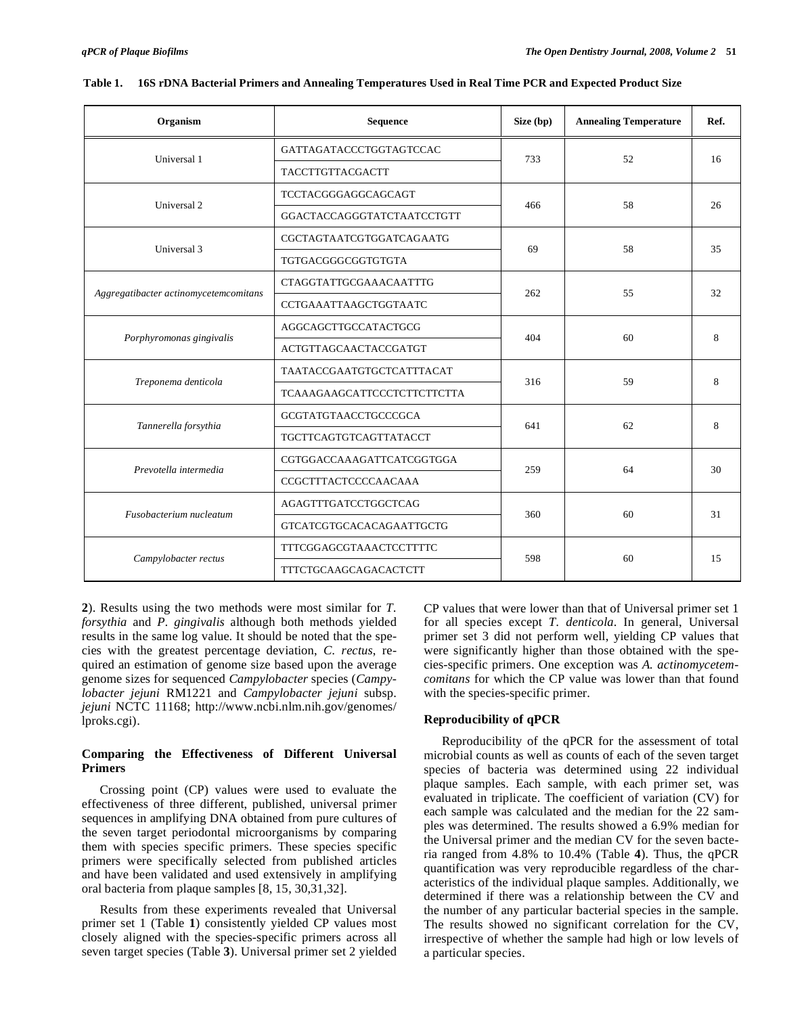| Organism                              | Sequence                           | Size (bp) | <b>Annealing Temperature</b> | Ref. |
|---------------------------------------|------------------------------------|-----------|------------------------------|------|
| Universal 1                           | GATTAGATACCCTGGTAGTCCAC            | 733       | 52                           | 16   |
|                                       | TACCTTGTTACGACTT                   |           |                              |      |
| Universal 2                           | TCCTACGGGAGGCAGCAGT                |           | 58                           |      |
|                                       | GGACTACCAGGGTATCTAATCCTGTT         | 466       |                              | 26   |
| Universal 3                           | CGCTAGTAATCGTGGATCAGAATG           | 69        |                              |      |
|                                       | TGTGACGGGCGGTGTGTA                 |           | 58                           | 35   |
|                                       | CTAGGTATTGCGAAACAATTTG             |           |                              | 32   |
| Aggregatibacter actinomycetemcomitans | CCTGAAATTAAGCTGGTAATC              | 262       | 55                           |      |
|                                       | AGGCAGCTTGCCATACTGCG               |           |                              | 8    |
| Porphyromonas gingivalis              | <b>ACTGTTAGCAACTACCGATGT</b>       | 404       | 60                           |      |
|                                       | TAATACCGAATGTGCTCATTTACAT          | 316       | 59                           |      |
| Treponema denticola                   | <b>TCAAAGAAGCATTCCCTCTTCTTCTTA</b> |           |                              | 8    |
|                                       | GCGTATGTAACCTGCCCGCA               |           |                              | 8    |
| Tannerella forsythia                  | TGCTTCAGTGTCAGTTATACCT             | 641       | 62                           |      |
| Prevotella intermedia                 | CGTGGACCAAAGATTCATCGGTGGA          |           |                              | 30   |
|                                       | CCGCTTTACTCCCCAACAAA               | 259       | 64                           |      |
|                                       | AGAGTTTGATCCTGGCTCAG               |           |                              |      |
| Fusobacterium nucleatum               | GTCATCGTGCACACAGAATTGCTG           | 360       | 60                           | 31   |
|                                       | TTTCGGAGCGTAAACTCCTTTTC            |           |                              |      |
| Campylobacter rectus                  | <b>TTTCTGCAAGCAGACACTCTT</b>       | 598       | 60                           | 15   |

|  |  | Table 1. 16S rDNA Bacterial Primers and Annealing Temperatures Used in Real Time PCR and Expected Product Size |
|--|--|----------------------------------------------------------------------------------------------------------------|
|  |  |                                                                                                                |

**2**). Results using the two methods were most similar for *T. forsythia* and *P. gingivalis* although both methods yielded results in the same log value. It should be noted that the species with the greatest percentage deviation, *C. rectus*, required an estimation of genome size based upon the average genome sizes for sequenced *Campylobacter* species (*Campylobacter jejuni* RM1221 and *Campylobacter jejuni* subsp. *jejuni* NCTC 11168; http://www.ncbi.nlm.nih.gov/genomes/ lproks.cgi).

# **Comparing the Effectiveness of Different Universal Primers**

 Crossing point (CP) values were used to evaluate the effectiveness of three different, published, universal primer sequences in amplifying DNA obtained from pure cultures of the seven target periodontal microorganisms by comparing them with species specific primers. These species specific primers were specifically selected from published articles and have been validated and used extensively in amplifying oral bacteria from plaque samples [8, 15, 30,31,32].

 Results from these experiments revealed that Universal primer set 1 (Table **1**) consistently yielded CP values most closely aligned with the species-specific primers across all seven target species (Table **3**). Universal primer set 2 yielded CP values that were lower than that of Universal primer set 1 for all species except *T. denticola*. In general, Universal primer set 3 did not perform well, yielding CP values that were significantly higher than those obtained with the species-specific primers. One exception was *A. actinomycetemcomitans* for which the CP value was lower than that found with the species-specific primer.

## **Reproducibility of qPCR**

 Reproducibility of the qPCR for the assessment of total microbial counts as well as counts of each of the seven target species of bacteria was determined using 22 individual plaque samples. Each sample, with each primer set, was evaluated in triplicate. The coefficient of variation (CV) for each sample was calculated and the median for the 22 samples was determined. The results showed a 6.9% median for the Universal primer and the median CV for the seven bacteria ranged from 4.8% to 10.4% (Table **4**). Thus, the qPCR quantification was very reproducible regardless of the characteristics of the individual plaque samples. Additionally, we determined if there was a relationship between the CV and the number of any particular bacterial species in the sample. The results showed no significant correlation for the CV, irrespective of whether the sample had high or low levels of a particular species.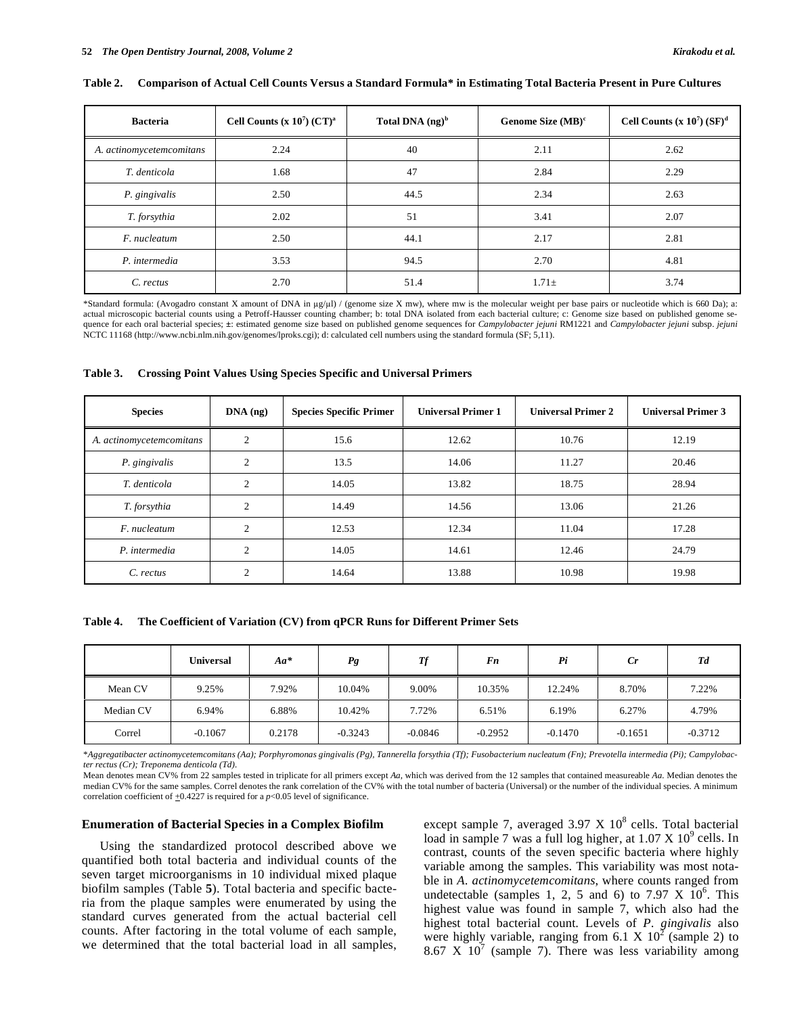| <b>Bacteria</b>          | Cell Counts (x $10^7$ ) (CT) <sup>a</sup> | Total DNA $(ng)^b$ | Genome Size $(MB)^c$ | Cell Counts $(x 10^7)$ $(SF)^d$ |
|--------------------------|-------------------------------------------|--------------------|----------------------|---------------------------------|
| A. actinomycetemcomitans | 2.24                                      | 40                 | 2.11                 | 2.62                            |
| T. denticola             | 1.68                                      | 47                 | 2.84                 | 2.29                            |
| P. gingivalis            | 2.50                                      | 44.5               | 2.34                 | 2.63                            |
| T. forsythia             | 2.02                                      | 51                 | 3.41                 | 2.07                            |
| F. nucleatum             | 2.50                                      | 44.1               | 2.17                 | 2.81                            |
| P. intermedia            | 3.53                                      | 94.5               | 2.70                 | 4.81                            |
| C. rectus                | 2.70                                      | 51.4               | $1.71 +$             | 3.74                            |

#### **Table 2. Comparison of Actual Cell Counts Versus a Standard Formula\* in Estimating Total Bacteria Present in Pure Cultures**

\*Standard formula: (Avogadro constant X amount of DNA in g/l) / (genome size X mw), where mw is the molecular weight per base pairs or nucleotide which is 660 Da); a: actual microscopic bacterial counts using a Petroff-Hausser counting chamber; b: total DNA isolated from each bacterial culture; c: Genome size based on published genome sequence for each oral bacterial species; **±**: estimated genome size based on published genome sequences for *Campylobacter jejuni* RM1221 and *Campylobacter jejuni* subsp. *jejuni* NCTC 11168 (http://www.ncbi.nlm.nih.gov/genomes/lproks.cgi); d: calculated cell numbers using the standard formula (SF; 5,11).

| Table 3. |  |  | <b>Crossing Point Values Using Species Specific and Universal Primers</b> |
|----------|--|--|---------------------------------------------------------------------------|
|          |  |  |                                                                           |

| <b>Species</b>           | $DNA$ (ng)     | <b>Species Specific Primer</b> | <b>Universal Primer 1</b> | <b>Universal Primer 2</b> | <b>Universal Primer 3</b> |
|--------------------------|----------------|--------------------------------|---------------------------|---------------------------|---------------------------|
| A. actinomycetemcomitans | 2              | 15.6                           | 12.62                     | 10.76                     | 12.19                     |
| P. gingivalis            | $\overline{2}$ | 13.5                           | 14.06                     | 11.27                     | 20.46                     |
| T. denticola             | $\overline{2}$ | 14.05                          | 13.82                     | 18.75                     | 28.94                     |
| T. forsythia             | 2              | 14.49                          | 14.56                     | 13.06                     | 21.26                     |
| F. nucleatum             | $\overline{c}$ | 12.53                          | 12.34                     | 11.04                     | 17.28                     |
| P. intermedia            | $\overline{c}$ | 14.05                          | 14.61                     | 12.46                     | 24.79                     |
| C. rectus                | $\overline{2}$ | 14.64                          | 13.88                     | 10.98                     | 19.98                     |

**Table 4. The Coefficient of Variation (CV) from qPCR Runs for Different Primer Sets** 

|           | <b>Universal</b> | $Aa^*$ | Pg        | Тf        | Fn        | Pi        | Cr        | Td        |
|-----------|------------------|--------|-----------|-----------|-----------|-----------|-----------|-----------|
| Mean CV   | 9.25%            | 7.92%  | 10.04%    | 9.00%     | 10.35%    | 12.24%    | 8.70%     | 7.22%     |
| Median CV | 6.94%            | 6.88%  | 10.42%    | 7.72%     | 6.51%     | 6.19%     | 6.27%     | 4.79%     |
| Correl    | $-0.1067$        | 0.2178 | $-0.3243$ | $-0.0846$ | $-0.2952$ | $-0.1470$ | $-0.1651$ | $-0.3712$ |

\**Aggregatibacter actinomycetemcomitans (Aa); Porphyromonas gingivalis (Pg), Tannerella forsythia (Tf); Fusobacterium nucleatum (Fn); Prevotella intermedia (Pi); Campylobacter rectus (Cr); Treponema denticola (Td).*

Mean denotes mean CV% from 22 samples tested in triplicate for all primers except *Aa*, which was derived from the 12 samples that contained measureable *Aa.* Median denotes the median CV% for the same samples. Correl denotes the rank correlation of the CV% with the total number of bacteria (Universal) or the number of the individual species. A minimum correlation coefficient of  $\pm 0.4227$  is required for a *p*<0.05 level of significance.

#### **Enumeration of Bacterial Species in a Complex Biofilm**

 Using the standardized protocol described above we quantified both total bacteria and individual counts of the seven target microorganisms in 10 individual mixed plaque biofilm samples (Table **5**). Total bacteria and specific bacteria from the plaque samples were enumerated by using the standard curves generated from the actual bacterial cell counts. After factoring in the total volume of each sample, we determined that the total bacterial load in all samples,

except sample 7, averaged  $3.97 \times 10^8$  cells. Total bacterial load in sample 7 was a full log higher, at  $1.07 \times 10^9$  cells. In contrast, counts of the seven specific bacteria where highly variable among the samples. This variability was most notable in *A. actinomycetemcomitans*, where counts ranged from undetectable (samples 1, 2, 5 and 6) to 7.97 X  $10^6$ . This highest value was found in sample 7, which also had the highest total bacterial count. Levels of *P. gingivalis* also were highly variable, ranging from 6.1 X  $10^2$  (sample 2) to 8.67  $X$  10<sup>7</sup> (sample 7). There was less variability among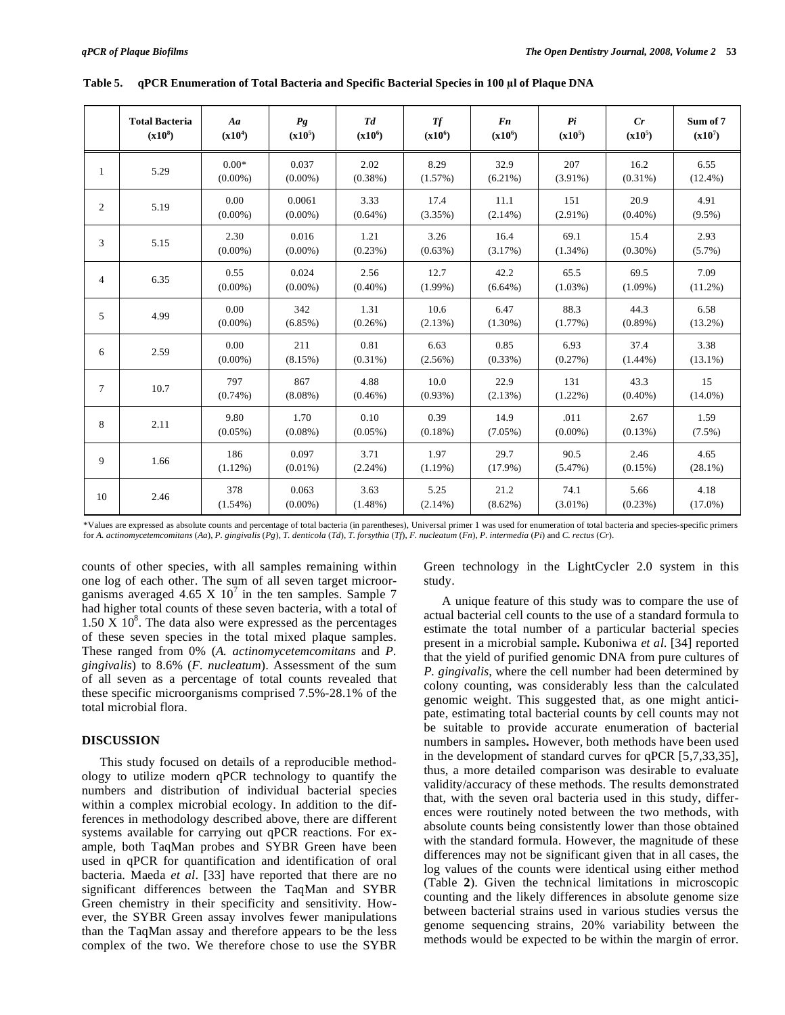|                | <b>Total Bacteria</b><br>$(x10^8)$ | Aa<br>$(x10^4)$       | Pg<br>$(x10^5)$      | T d<br>$(x10^6)$   | <b>Tf</b><br>$(x10^6)$ | F <sub>n</sub><br>$(x10^6)$ | Pi<br>$(x10^5)$    | Cr<br>$(x10^5)$    | Sum of 7<br>$(x10^7)$ |
|----------------|------------------------------------|-----------------------|----------------------|--------------------|------------------------|-----------------------------|--------------------|--------------------|-----------------------|
| 1              | 5.29                               | $0.00*$<br>$(0.00\%)$ | 0.037<br>$(0.00\%)$  | 2.02<br>$(0.38\%)$ | 8.29<br>$(1.57\%)$     | 32.9<br>$(6.21\%)$          | 207<br>$(3.91\%)$  | 16.2<br>$(0.31\%)$ | 6.55<br>$(12.4\%)$    |
| $\overline{c}$ | 5.19                               | 0.00<br>$(0.00\%)$    | 0.0061<br>$(0.00\%)$ | 3.33<br>$(0.64\%)$ | 17.4<br>(3.35%)        | 11.1<br>$(2.14\%)$          | 151<br>$(2.91\%)$  | 20.9<br>$(0.40\%)$ | 4.91<br>$(9.5\%)$     |
| 3              | 5.15                               | 2.30<br>$(0.00\%)$    | 0.016<br>$(0.00\%)$  | 1.21<br>(0.23%)    | 3.26<br>(0.63%)        | 16.4<br>(3.17%)             | 69.1<br>$(1.34\%)$ | 15.4<br>$(0.30\%)$ | 2.93<br>$(5.7\%)$     |
| 4              | 6.35                               | 0.55<br>$(0.00\%)$    | 0.024<br>$(0.00\%)$  | 2.56<br>$(0.40\%)$ | 12.7<br>$(1.99\%)$     | 42.2<br>$(6.64\%)$          | 65.5<br>$(1.03\%)$ | 69.5<br>$(1.09\%)$ | 7.09<br>$(11.2\%)$    |
| 5              | 4.99                               | 0.00<br>$(0.00\%)$    | 342<br>$(6.85\%)$    | 1.31<br>$(0.26\%)$ | 10.6<br>(2.13%)        | 6.47<br>$(1.30\%)$          | 88.3<br>$(1.77\%)$ | 44.3<br>$(0.89\%)$ | 6.58<br>$(13.2\%)$    |
| 6              | 2.59                               | 0.00<br>$(0.00\%)$    | 211<br>(8.15%)       | 0.81<br>$(0.31\%)$ | 6.63<br>$(2.56\%)$     | 0.85<br>(0.33%)             | 6.93<br>(0.27%)    | 37.4<br>$(1.44\%)$ | 3.38<br>$(13.1\%)$    |
| 7              | 10.7                               | 797<br>$(0.74\%)$     | 867<br>$(8.08\%)$    | 4.88<br>$(0.46\%)$ | 10.0<br>(0.93%)        | 22.9<br>(2.13%)             | 131<br>$(1.22\%)$  | 43.3<br>$(0.40\%)$ | 15<br>$(14.0\%)$      |
| 8              | 2.11                               | 9.80<br>$(0.05\%)$    | 1.70<br>$(0.08\%)$   | 0.10<br>$(0.05\%)$ | 0.39<br>$(0.18\%)$     | 14.9<br>$(7.05\%)$          | .011<br>$(0.00\%)$ | 2.67<br>(0.13%)    | 1.59<br>$(7.5\%)$     |
| 9              | 1.66                               | 186<br>$(1.12\%)$     | 0.097<br>$(0.01\%)$  | 3.71<br>$(2.24\%)$ | 1.97<br>(1.19%)        | 29.7<br>$(17.9\%)$          | 90.5<br>(5.47%)    | 2.46<br>$(0.15\%)$ | 4.65<br>$(28.1\%)$    |
| 10             | 2.46                               | 378<br>$(1.54\%)$     | 0.063<br>$(0.00\%)$  | 3.63<br>$(1.48\%)$ | 5.25<br>$(2.14\%)$     | 21.2<br>$(8.62\%)$          | 74.1<br>$(3.01\%)$ | 5.66<br>(0.23%)    | 4.18<br>$(17.0\%)$    |

Table 5. qPCR Enumeration of Total Bacteria and Specific Bacterial Species in 100 µl of Plaque DNA

\*Values are expressed as absolute counts and percentage of total bacteria (in parentheses), Universal primer 1 was used for enumeration of total bacteria and species-specific primers for A. actinomycetemcomitans (Aa), P. gingivalis (Pg), T. denticola (Td), T. forsythia (Tf), F. nucleatum (Fn), P. intermedia (Pi) and C. rectus (Cr).

counts of other species, with all samples remaining within one log of each other. The sum of all seven target microorganisms averaged 4.65 X  $10^7$  in the ten samples. Sample 7 had higher total counts of these seven bacteria, with a total of  $1.50 \text{ X } 10^8$ . The data also were expressed as the percentages of these seven species in the total mixed plaque samples. These ranged from 0% (*A. actinomycetemcomitans* and *P. gingivalis*) to 8.6% (*F. nucleatum*). Assessment of the sum of all seven as a percentage of total counts revealed that these specific microorganisms comprised 7.5%-28.1% of the total microbial flora.

## **DISCUSSION**

 This study focused on details of a reproducible methodology to utilize modern qPCR technology to quantify the numbers and distribution of individual bacterial species within a complex microbial ecology. In addition to the differences in methodology described above, there are different systems available for carrying out qPCR reactions. For example, both TaqMan probes and SYBR Green have been used in qPCR for quantification and identification of oral bacteria. Maeda *et al*. [33] have reported that there are no significant differences between the TaqMan and SYBR Green chemistry in their specificity and sensitivity. However, the SYBR Green assay involves fewer manipulations than the TaqMan assay and therefore appears to be the less complex of the two. We therefore chose to use the SYBR

Green technology in the LightCycler 2.0 system in this study.

 A unique feature of this study was to compare the use of actual bacterial cell counts to the use of a standard formula to estimate the total number of a particular bacterial species present in a microbial sample**.** Kuboniwa *et al*. [34] reported that the yield of purified genomic DNA from pure cultures of *P. gingivalis*, where the cell number had been determined by colony counting, was considerably less than the calculated genomic weight. This suggested that, as one might anticipate, estimating total bacterial counts by cell counts may not be suitable to provide accurate enumeration of bacterial numbers in samples**.** However, both methods have been used in the development of standard curves for qPCR [5,7,33,35], thus, a more detailed comparison was desirable to evaluate validity/accuracy of these methods. The results demonstrated that, with the seven oral bacteria used in this study, differences were routinely noted between the two methods, with absolute counts being consistently lower than those obtained with the standard formula. However, the magnitude of these differences may not be significant given that in all cases, the log values of the counts were identical using either method (Table **2**). Given the technical limitations in microscopic counting and the likely differences in absolute genome size between bacterial strains used in various studies versus the genome sequencing strains, 20% variability between the methods would be expected to be within the margin of error.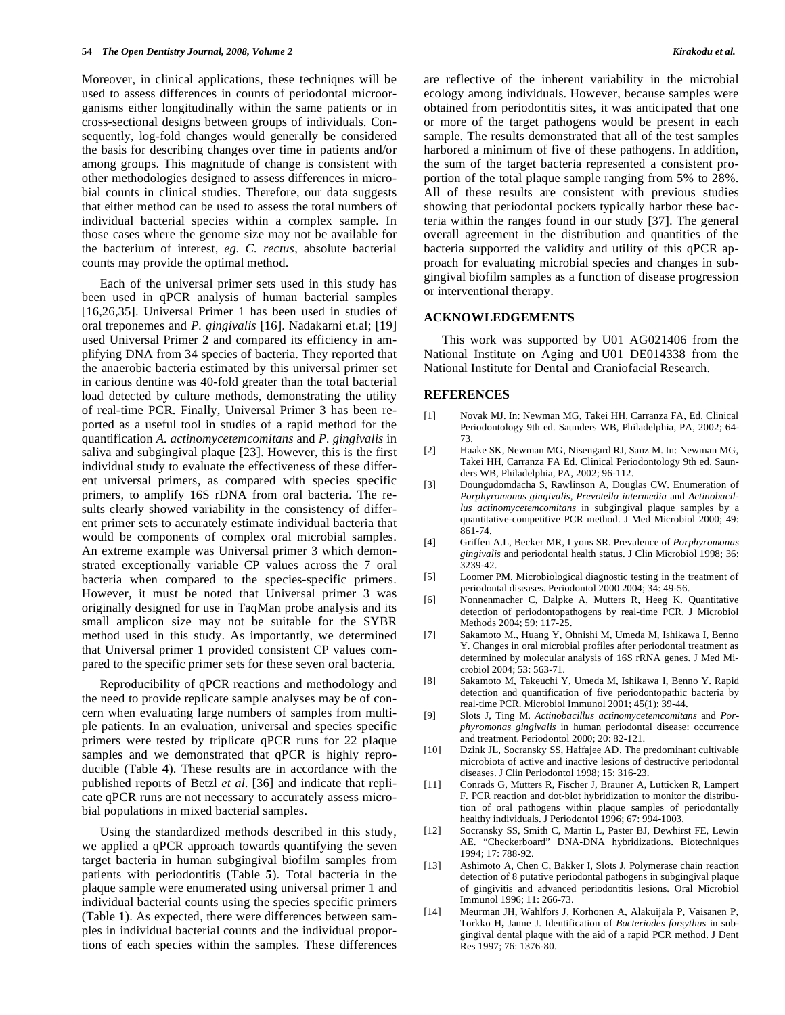Moreover, in clinical applications, these techniques will be used to assess differences in counts of periodontal microorganisms either longitudinally within the same patients or in cross-sectional designs between groups of individuals. Consequently, log-fold changes would generally be considered the basis for describing changes over time in patients and/or among groups. This magnitude of change is consistent with other methodologies designed to assess differences in microbial counts in clinical studies. Therefore, our data suggests that either method can be used to assess the total numbers of individual bacterial species within a complex sample. In those cases where the genome size may not be available for the bacterium of interest, *eg. C. rectus*, absolute bacterial counts may provide the optimal method.

 Each of the universal primer sets used in this study has been used in qPCR analysis of human bacterial samples [16,26,35]. Universal Primer 1 has been used in studies of oral treponemes and *P. gingivalis* [16]. Nadakarni et.al; [19] used Universal Primer 2 and compared its efficiency in amplifying DNA from 34 species of bacteria. They reported that the anaerobic bacteria estimated by this universal primer set in carious dentine was 40-fold greater than the total bacterial load detected by culture methods, demonstrating the utility of real-time PCR. Finally, Universal Primer 3 has been reported as a useful tool in studies of a rapid method for the quantification *A. actinomycetemcomitans* and *P. gingivalis* in saliva and subgingival plaque [23]. However, this is the first individual study to evaluate the effectiveness of these different universal primers, as compared with species specific primers, to amplify 16S rDNA from oral bacteria. The results clearly showed variability in the consistency of different primer sets to accurately estimate individual bacteria that would be components of complex oral microbial samples. An extreme example was Universal primer 3 which demonstrated exceptionally variable CP values across the 7 oral bacteria when compared to the species-specific primers. However, it must be noted that Universal primer 3 was originally designed for use in TaqMan probe analysis and its small amplicon size may not be suitable for the SYBR method used in this study. As importantly, we determined that Universal primer 1 provided consistent CP values compared to the specific primer sets for these seven oral bacteria.

 Reproducibility of qPCR reactions and methodology and the need to provide replicate sample analyses may be of concern when evaluating large numbers of samples from multiple patients. In an evaluation, universal and species specific primers were tested by triplicate qPCR runs for 22 plaque samples and we demonstrated that qPCR is highly reproducible (Table **4**). These results are in accordance with the published reports of Betzl *et al*. [36] and indicate that replicate qPCR runs are not necessary to accurately assess microbial populations in mixed bacterial samples.

 Using the standardized methods described in this study, we applied a qPCR approach towards quantifying the seven target bacteria in human subgingival biofilm samples from patients with periodontitis (Table **5**). Total bacteria in the plaque sample were enumerated using universal primer 1 and individual bacterial counts using the species specific primers (Table **1**). As expected, there were differences between samples in individual bacterial counts and the individual proportions of each species within the samples. These differences are reflective of the inherent variability in the microbial ecology among individuals. However, because samples were obtained from periodontitis sites, it was anticipated that one or more of the target pathogens would be present in each sample. The results demonstrated that all of the test samples harbored a minimum of five of these pathogens. In addition, the sum of the target bacteria represented a consistent proportion of the total plaque sample ranging from 5% to 28%. All of these results are consistent with previous studies showing that periodontal pockets typically harbor these bacteria within the ranges found in our study [37]. The general overall agreement in the distribution and quantities of the bacteria supported the validity and utility of this qPCR approach for evaluating microbial species and changes in subgingival biofilm samples as a function of disease progression or interventional therapy.

## **ACKNOWLEDGEMENTS**

 This work was supported by U01 AG021406 from the National Institute on Aging and U01 DE014338 from the National Institute for Dental and Craniofacial Research.

## **REFERENCES**

- [1] Novak MJ. In: Newman MG, Takei HH, Carranza FA, Ed. Clinical Periodontology 9th ed. Saunders WB, Philadelphia, PA, 2002; 64- 73.
- [2] Haake SK, Newman MG, Nisengard RJ, Sanz M. In: Newman MG, Takei HH, Carranza FA Ed. Clinical Periodontology 9th ed. Saunders WB, Philadelphia, PA, 2002; 96-112.
- [3] Doungudomdacha S, Rawlinson A, Douglas CW. Enumeration of *Porphyromonas gingivalis, Prevotella intermedia* and *Actinobacillus actinomycetemcomitans* in subgingival plaque samples by a quantitative-competitive PCR method. J Med Microbiol 2000; 49: 861-74.
- [4] Griffen A.L, Becker MR, Lyons SR. Prevalence of *Porphyromonas gingivalis* and periodontal health status. J Clin Microbiol 1998; 36: 3239-42.
- [5] Loomer PM. Microbiological diagnostic testing in the treatment of periodontal diseases. Periodontol 2000 2004; 34: 49-56.
- [6] Nonnenmacher C, Dalpke A, Mutters R, Heeg K. Quantitative detection of periodontopathogens by real-time PCR. J Microbiol Methods 2004; 59: 117-25.
- [7] Sakamoto M., Huang Y, Ohnishi M, Umeda M, Ishikawa I, Benno Y. Changes in oral microbial profiles after periodontal treatment as determined by molecular analysis of 16S rRNA genes. J Med Microbiol 2004; 53: 563-71.
- [8] Sakamoto M, Takeuchi Y, Umeda M, Ishikawa I, Benno Y. Rapid detection and quantification of five periodontopathic bacteria by real-time PCR. Microbiol Immunol 2001; 45(1): 39-44.
- [9] Slots J, Ting M. *Actinobacillus actinomycetemcomitans* and *Porphyromonas gingivalis* in human periodontal disease: occurrence and treatment. Periodontol 2000; 20: 82-121.
- [10] Dzink JL, Socransky SS, Haffajee AD. The predominant cultivable microbiota of active and inactive lesions of destructive periodontal diseases. J Clin Periodontol 1998; 15: 316-23.
- [11] Conrads G, Mutters R, Fischer J, Brauner A, Lutticken R, Lampert F. PCR reaction and dot-blot hybridization to monitor the distribution of oral pathogens within plaque samples of periodontally healthy individuals. J Periodontol 1996; 67: 994-1003.
- [12] Socransky SS, Smith C, Martin L, Paster BJ, Dewhirst FE, Lewin AE. "Checkerboard" DNA-DNA hybridizations. Biotechniques 1994; 17: 788-92.
- [13] Ashimoto A, Chen C, Bakker I, Slots J. Polymerase chain reaction detection of 8 putative periodontal pathogens in subgingival plaque of gingivitis and advanced periodontitis lesions. Oral Microbiol Immunol 1996; 11: 266-73.
- [14] Meurman JH, Wahlfors J, Korhonen A, Alakuijala P, Vaisanen P, Torkko H**,** Janne J. Identification of *Bacteriodes forsythus* in subgingival dental plaque with the aid of a rapid PCR method. J Dent Res 1997; 76: 1376-80.